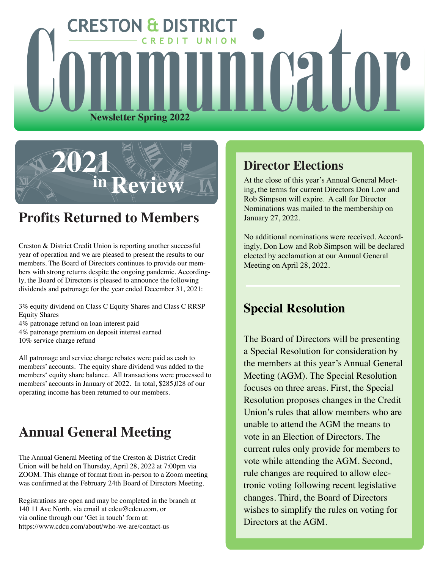



# **Profits Returned to Members**

Creston & District Credit Union is reporting another successful year of operation and we are pleased to present the results to our members. The Board of Directors continues to provide our members with strong returns despite the ongoing pandemic. Accordingly, the Board of Directors is pleased to announce the following dividends and patronage for the year ended December 31, 2021:

3% equity dividend on Class C Equity Shares and Class C RRSP Equity Shares 4% patronage refund on loan interest paid 4% patronage premium on deposit interest earned 10% service charge refund

All patronage and service charge rebates were paid as cash to members' accounts. The equity share dividend was added to the members' equity share balance. All transactions were processed to members' accounts in January of 2022. In total, \$285,028 of our operating income has been returned to our members.

# **Annual General Meeting**

The Annual General Meeting of the Creston & District Credit Union will be held on Thursday, April 28, 2022 at 7:00pm via ZOOM. This change of format from in-person to a Zoom meeting was confirmed at the February 24th Board of Directors Meeting.

Registrations are open and may be completed in the branch at 140 11 Ave North, via email at cdcu@cdcu.com, or via online through our 'Get in touch' form at: https://www.cdcu.com/about/who-we-are/contact-us

## **Director Elections**

At the close of this year's Annual General Meeting, the terms for current Directors Don Low and Rob Simpson will expire. A call for Director Nominations was mailed to the membership on January 27, 2022.

No additional nominations were received. Accordingly, Don Low and Rob Simpson will be declared elected by acclamation at our Annual General Meeting on April 28, 2022.

## **Special Resolution**

The Board of Directors will be presenting a Special Resolution for consideration by the members at this year's Annual General Meeting (AGM). The Special Resolution focuses on three areas. First, the Special Resolution proposes changes in the Credit Union's rules that allow members who are unable to attend the AGM the means to vote in an Election of Directors. The current rules only provide for members to vote while attending the AGM. Second, rule changes are required to allow electronic voting following recent legislative changes. Third, the Board of Directors wishes to simplify the rules on voting for Directors at the AGM.